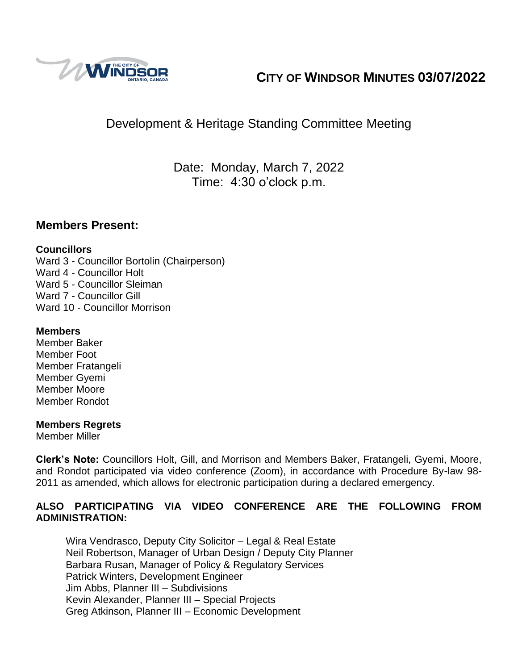

# **CITY OF WINDSOR MINUTES 03/07/2022**

# Development & Heritage Standing Committee Meeting

Date: Monday, March 7, 2022 Time: 4:30 o'clock p.m.

### **Members Present:**

### **Councillors**

Ward 3 - Councillor Bortolin (Chairperson) Ward 4 - Councillor Holt Ward 5 - Councillor Sleiman Ward 7 - Councillor Gill Ward 10 - Councillor Morrison

### **Members**

Member Baker Member Foot Member Fratangeli Member Gyemi Member Moore Member Rondot

### **Members Regrets**

Member Miller

**Clerk's Note:** Councillors Holt, Gill, and Morrison and Members Baker, Fratangeli, Gyemi, Moore, and Rondot participated via video conference (Zoom), in accordance with Procedure By-law 98- 2011 as amended, which allows for electronic participation during a declared emergency.

### **ALSO PARTICIPATING VIA VIDEO CONFERENCE ARE THE FOLLOWING FROM ADMINISTRATION:**

Wira Vendrasco, Deputy City Solicitor – Legal & Real Estate Neil Robertson, Manager of Urban Design / Deputy City Planner Barbara Rusan, Manager of Policy & Regulatory Services Patrick Winters, Development Engineer Jim Abbs, Planner III – Subdivisions Kevin Alexander, Planner III – Special Projects Greg Atkinson, Planner III – Economic Development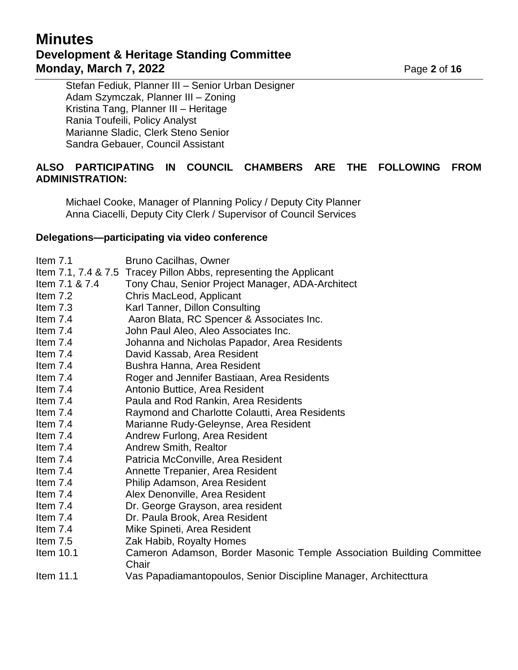## **Minutes Development & Heritage Standing Committee Monday, March 7, 2022 Page 2** of **16**

Stefan Fediuk, Planner III – Senior Urban Designer Adam Szymczak, Planner III – Zoning Kristina Tang, Planner III – Heritage Rania Toufeili, Policy Analyst Marianne Sladic, Clerk Steno Senior Sandra Gebauer, Council Assistant

### **ALSO PARTICIPATING IN COUNCIL CHAMBERS ARE THE FOLLOWING FROM ADMINISTRATION:**

Michael Cooke, Manager of Planning Policy / Deputy City Planner Anna Ciacelli, Deputy City Clerk / Supervisor of Council Services

#### **Delegations—participating via video conference**

| Item $7.1$          | <b>Bruno Cacilhas, Owner</b>                                                   |
|---------------------|--------------------------------------------------------------------------------|
| Item 7.1, 7.4 & 7.5 | Tracey Pillon Abbs, representing the Applicant                                 |
| Item 7.1 & 7.4      | Tony Chau, Senior Project Manager, ADA-Architect                               |
| Item $7.2$          | Chris MacLeod, Applicant                                                       |
| Item $7.3$          | Karl Tanner, Dillon Consulting                                                 |
| Item $7.4$          | Aaron Blata, RC Spencer & Associates Inc.                                      |
| Item 7.4            | John Paul Aleo, Aleo Associates Inc.                                           |
| Item $7.4$          | Johanna and Nicholas Papador, Area Residents                                   |
| Item $7.4$          | David Kassab, Area Resident                                                    |
| Item $7.4$          | Bushra Hanna, Area Resident                                                    |
| Item $7.4$          | Roger and Jennifer Bastiaan, Area Residents                                    |
| Item $7.4$          | Antonio Buttice, Area Resident                                                 |
| Item 7.4            | Paula and Rod Rankin, Area Residents                                           |
| Item $7.4$          | Raymond and Charlotte Colautti, Area Residents                                 |
| Item $7.4$          | Marianne Rudy-Geleynse, Area Resident                                          |
| Item $7.4$          | Andrew Furlong, Area Resident                                                  |
| Item $7.4$          | <b>Andrew Smith, Realtor</b>                                                   |
| Item $7.4$          | Patricia McConville, Area Resident                                             |
| Item $7.4$          | Annette Trepanier, Area Resident                                               |
| Item $7.4$          | Philip Adamson, Area Resident                                                  |
| Item 7.4            | Alex Denonville, Area Resident                                                 |
| Item $7.4$          | Dr. George Grayson, area resident                                              |
| Item $7.4$          | Dr. Paula Brook, Area Resident                                                 |
| Item $7.4$          | Mike Spineti, Area Resident                                                    |
| Item 7.5            | Zak Habib, Royalty Homes                                                       |
| Item 10.1           | Cameron Adamson, Border Masonic Temple Association Building Committee<br>Chair |

Item 11.1 Vas Papadiamantopoulos, Senior Discipline Manager, Architecttura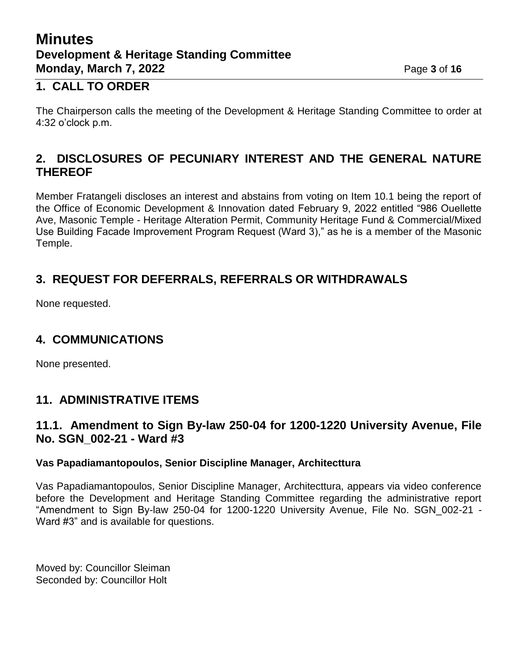## **Minutes Development & Heritage Standing Committee Monday, March 7, 2022 Page 3 of 16**

## **1. CALL TO ORDER**

The Chairperson calls the meeting of the Development & Heritage Standing Committee to order at 4:32 o'clock p.m.

## **2. DISCLOSURES OF PECUNIARY INTEREST AND THE GENERAL NATURE THEREOF**

Member Fratangeli discloses an interest and abstains from voting on Item 10.1 being the report of the Office of Economic Development & Innovation dated February 9, 2022 entitled "986 Ouellette Ave, Masonic Temple - Heritage Alteration Permit, Community Heritage Fund & Commercial/Mixed Use Building Facade Improvement Program Request (Ward 3)," as he is a member of the Masonic Temple.

## **3. REQUEST FOR DEFERRALS, REFERRALS OR WITHDRAWALS**

None requested.

## **4. COMMUNICATIONS**

None presented.

## **11. ADMINISTRATIVE ITEMS**

### **11.1. Amendment to Sign By-law 250-04 for 1200-1220 University Avenue, File No. SGN\_002-21 - Ward #3**

### **Vas Papadiamantopoulos, Senior Discipline Manager, Architecttura**

Vas Papadiamantopoulos, Senior Discipline Manager, Architecttura, appears via video conference before the Development and Heritage Standing Committee regarding the administrative report "Amendment to Sign By-law 250-04 for 1200-1220 University Avenue, File No. SGN\_002-21 - Ward #3" and is available for questions.

Moved by: Councillor Sleiman Seconded by: Councillor Holt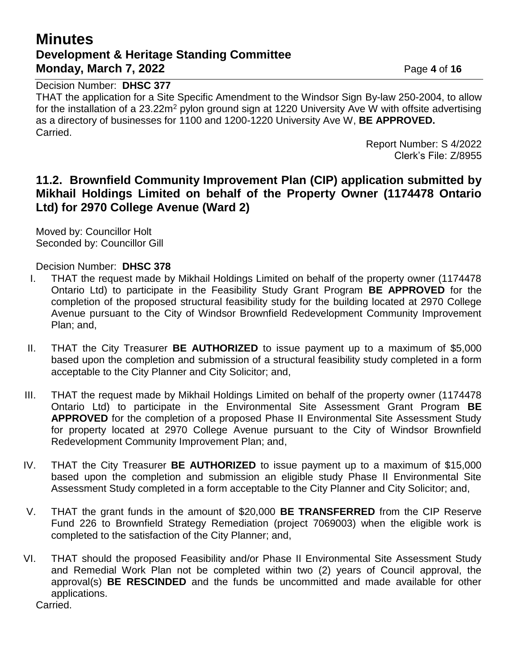## **Minutes Development & Heritage Standing Committee Monday, March 7, 2022 Page 4 of 16**

Decision Number: **DHSC 377**

THAT the application for a Site Specific Amendment to the Windsor Sign By-law 250-2004, to allow for the installation of a 23.22m<sup>2</sup> pylon ground sign at 1220 University Ave W with offsite advertising as a directory of businesses for 1100 and 1200-1220 University Ave W, **BE APPROVED.** Carried.

> Report Number: S 4/2022 Clerk's File: Z/8955

### **11.2. Brownfield Community Improvement Plan (CIP) application submitted by Mikhail Holdings Limited on behalf of the Property Owner (1174478 Ontario Ltd) for 2970 College Avenue (Ward 2)**

Moved by: Councillor Holt Seconded by: Councillor Gill

Decision Number: **DHSC 378**

- I. THAT the request made by Mikhail Holdings Limited on behalf of the property owner (1174478 Ontario Ltd) to participate in the Feasibility Study Grant Program **BE APPROVED** for the completion of the proposed structural feasibility study for the building located at 2970 College Avenue pursuant to the City of Windsor Brownfield Redevelopment Community Improvement Plan; and,
- II. THAT the City Treasurer **BE AUTHORIZED** to issue payment up to a maximum of \$5,000 based upon the completion and submission of a structural feasibility study completed in a form acceptable to the City Planner and City Solicitor; and,
- III. THAT the request made by Mikhail Holdings Limited on behalf of the property owner (1174478 Ontario Ltd) to participate in the Environmental Site Assessment Grant Program **BE APPROVED** for the completion of a proposed Phase II Environmental Site Assessment Study for property located at 2970 College Avenue pursuant to the City of Windsor Brownfield Redevelopment Community Improvement Plan; and,
- IV. THAT the City Treasurer **BE AUTHORIZED** to issue payment up to a maximum of \$15,000 based upon the completion and submission an eligible study Phase II Environmental Site Assessment Study completed in a form acceptable to the City Planner and City Solicitor; and,
- V. THAT the grant funds in the amount of \$20,000 **BE TRANSFERRED** from the CIP Reserve Fund 226 to Brownfield Strategy Remediation (project 7069003) when the eligible work is completed to the satisfaction of the City Planner; and,
- VI. THAT should the proposed Feasibility and/or Phase II Environmental Site Assessment Study and Remedial Work Plan not be completed within two (2) years of Council approval, the approval(s) **BE RESCINDED** and the funds be uncommitted and made available for other applications.

Carried.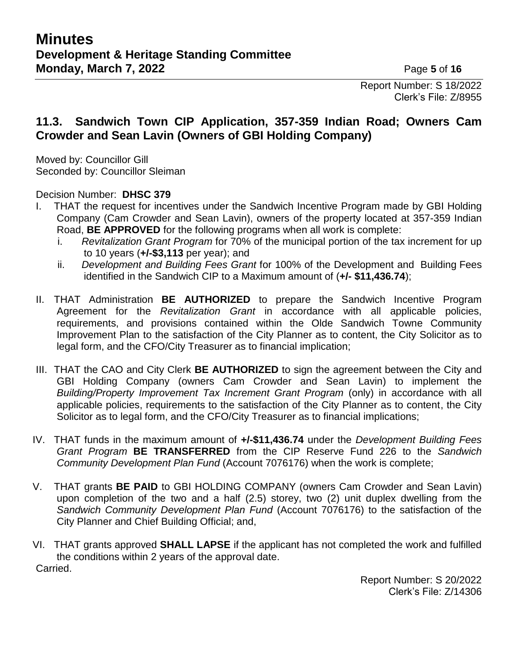Report Number: S 18/2022 Clerk's File: Z/8955

## **11.3. Sandwich Town CIP Application, 357-359 Indian Road; Owners Cam Crowder and Sean Lavin (Owners of GBI Holding Company)**

Moved by: Councillor Gill Seconded by: Councillor Sleiman

Decision Number: **DHSC 379**

- I. THAT the request for incentives under the Sandwich Incentive Program made by GBI Holding Company (Cam Crowder and Sean Lavin), owners of the property located at 357-359 Indian Road, **BE APPROVED** for the following programs when all work is complete:
	- i. *Revitalization Grant Program* for 70% of the municipal portion of the tax increment for up to 10 years (**+/-\$3,113** per year); and
	- ii. *Development and Building Fees Grant* for 100% of the Development and Building Fees identified in the Sandwich CIP to a Maximum amount of (**+/- \$11,436.74**);
- II. THAT Administration **BE AUTHORIZED** to prepare the Sandwich Incentive Program Agreement for the *Revitalization Grant* in accordance with all applicable policies, requirements, and provisions contained within the Olde Sandwich Towne Community Improvement Plan to the satisfaction of the City Planner as to content, the City Solicitor as to legal form, and the CFO/City Treasurer as to financial implication;
- III. THAT the CAO and City Clerk **BE AUTHORIZED** to sign the agreement between the City and GBI Holding Company (owners Cam Crowder and Sean Lavin) to implement the *Building/Property Improvement Tax Increment Grant Program* (only) in accordance with all applicable policies, requirements to the satisfaction of the City Planner as to content, the City Solicitor as to legal form, and the CFO/City Treasurer as to financial implications;
- IV. THAT funds in the maximum amount of **+/-\$11,436.74** under the *Development Building Fees Grant Program* **BE TRANSFERRED** from the CIP Reserve Fund 226 to the *Sandwich Community Development Plan Fund* (Account 7076176) when the work is complete;
- V. THAT grants **BE PAID** to GBI HOLDING COMPANY (owners Cam Crowder and Sean Lavin) upon completion of the two and a half (2.5) storey, two (2) unit duplex dwelling from the *Sandwich Community Development Plan Fund* (Account 7076176) to the satisfaction of the City Planner and Chief Building Official; and,
- VI. THAT grants approved **SHALL LAPSE** if the applicant has not completed the work and fulfilled the conditions within 2 years of the approval date. Carried.

Report Number: S 20/2022 Clerk's File: Z/14306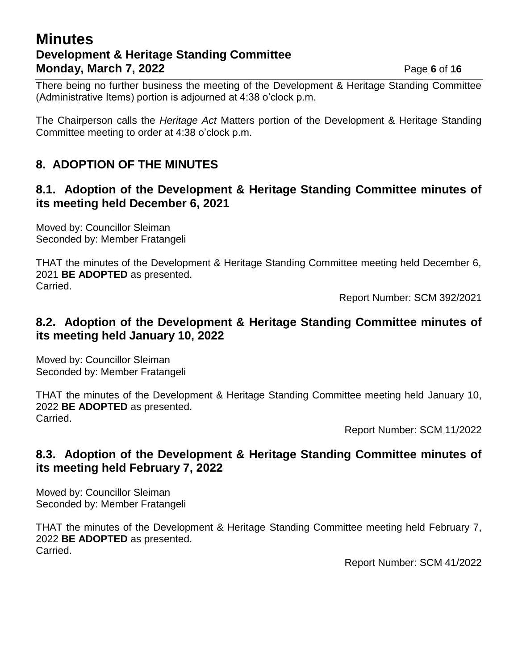## **Minutes Development & Heritage Standing Committee Monday, March 7, 2022 Page 6** of **16**

There being no further business the meeting of the Development & Heritage Standing Committee (Administrative Items) portion is adjourned at 4:38 o'clock p.m.

The Chairperson calls the *Heritage Act* Matters portion of the Development & Heritage Standing Committee meeting to order at 4:38 o'clock p.m.

## **8. ADOPTION OF THE MINUTES**

## **8.1. Adoption of the Development & Heritage Standing Committee minutes of its meeting held December 6, 2021**

Moved by: Councillor Sleiman Seconded by: Member Fratangeli

THAT the minutes of the Development & Heritage Standing Committee meeting held December 6, 2021 **BE ADOPTED** as presented. Carried.

Report Number: SCM 392/2021

## **8.2. Adoption of the Development & Heritage Standing Committee minutes of its meeting held January 10, 2022**

Moved by: Councillor Sleiman Seconded by: Member Fratangeli

THAT the minutes of the Development & Heritage Standing Committee meeting held January 10, 2022 **BE ADOPTED** as presented. Carried.

Report Number: SCM 11/2022

## **8.3. Adoption of the Development & Heritage Standing Committee minutes of its meeting held February 7, 2022**

Moved by: Councillor Sleiman Seconded by: Member Fratangeli

THAT the minutes of the Development & Heritage Standing Committee meeting held February 7, 2022 **BE ADOPTED** as presented. Carried.

Report Number: SCM 41/2022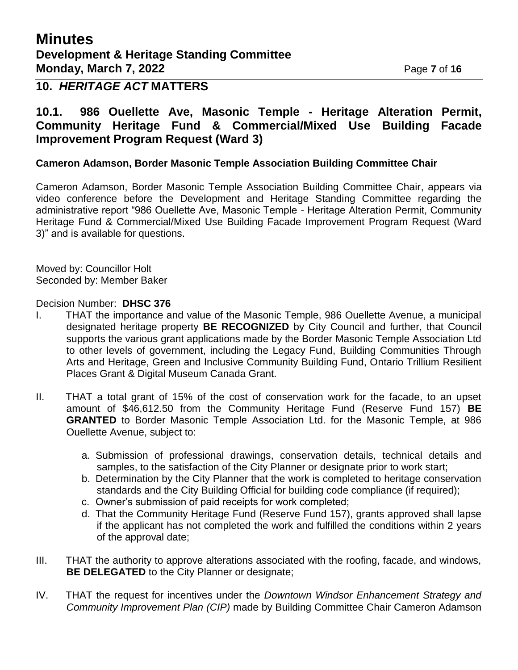## **Minutes Development & Heritage Standing Committee Monday, March 7, 2022 Page 7** of 16

### **10.** *HERITAGE ACT* **MATTERS**

### **10.1. 986 Ouellette Ave, Masonic Temple - Heritage Alteration Permit, Community Heritage Fund & Commercial/Mixed Use Building Facade Improvement Program Request (Ward 3)**

#### **Cameron Adamson, Border Masonic Temple Association Building Committee Chair**

Cameron Adamson, Border Masonic Temple Association Building Committee Chair, appears via video conference before the Development and Heritage Standing Committee regarding the administrative report "986 Ouellette Ave, Masonic Temple - Heritage Alteration Permit, Community Heritage Fund & Commercial/Mixed Use Building Facade Improvement Program Request (Ward 3)" and is available for questions.

Moved by: Councillor Holt Seconded by: Member Baker

Decision Number: **DHSC 376**

- I. THAT the importance and value of the Masonic Temple, 986 Ouellette Avenue, a municipal designated heritage property **BE RECOGNIZED** by City Council and further, that Council supports the various grant applications made by the Border Masonic Temple Association Ltd to other levels of government, including the Legacy Fund, Building Communities Through Arts and Heritage, Green and Inclusive Community Building Fund, Ontario Trillium Resilient Places Grant & Digital Museum Canada Grant.
- II. THAT a total grant of 15% of the cost of conservation work for the facade, to an upset amount of \$46,612.50 from the Community Heritage Fund (Reserve Fund 157) **BE GRANTED** to Border Masonic Temple Association Ltd. for the Masonic Temple, at 986 Ouellette Avenue, subject to:
	- a. Submission of professional drawings, conservation details, technical details and samples, to the satisfaction of the City Planner or designate prior to work start;
	- b. Determination by the City Planner that the work is completed to heritage conservation standards and the City Building Official for building code compliance (if required);
	- c. Owner's submission of paid receipts for work completed;
	- d. That the Community Heritage Fund (Reserve Fund 157), grants approved shall lapse if the applicant has not completed the work and fulfilled the conditions within 2 years of the approval date;
- III. THAT the authority to approve alterations associated with the roofing, facade, and windows, **BE DELEGATED** to the City Planner or designate;
- IV. THAT the request for incentives under the *Downtown Windsor Enhancement Strategy and Community Improvement Plan (CIP)* made by Building Committee Chair Cameron Adamson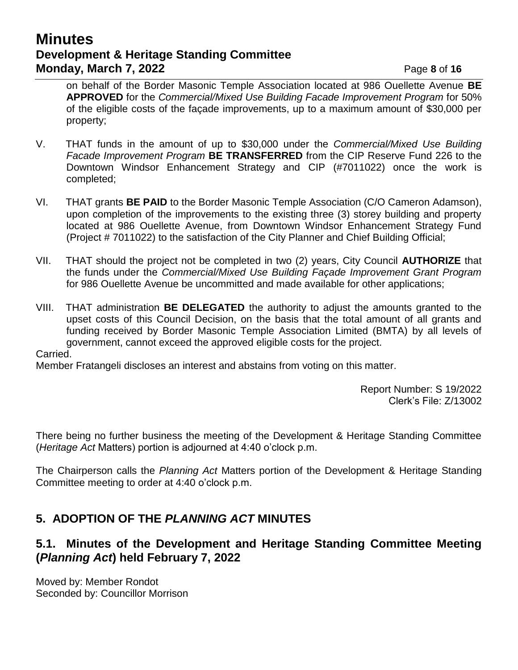## **Minutes Development & Heritage Standing Committee Monday, March 7, 2022 Page 8** of 16

on behalf of the Border Masonic Temple Association located at 986 Ouellette Avenue **BE APPROVED** for the *Commercial/Mixed Use Building Facade Improvement Program* for 50% of the eligible costs of the façade improvements, up to a maximum amount of \$30,000 per property;

- V. THAT funds in the amount of up to \$30,000 under the *Commercial/Mixed Use Building Facade Improvement Program* **BE TRANSFERRED** from the CIP Reserve Fund 226 to the Downtown Windsor Enhancement Strategy and CIP (#7011022) once the work is completed;
- VI. THAT grants **BE PAID** to the Border Masonic Temple Association (C/O Cameron Adamson), upon completion of the improvements to the existing three (3) storey building and property located at 986 Ouellette Avenue, from Downtown Windsor Enhancement Strategy Fund (Project # 7011022) to the satisfaction of the City Planner and Chief Building Official;
- VII. THAT should the project not be completed in two (2) years, City Council **AUTHORIZE** that the funds under the *Commercial/Mixed Use Building Façade Improvement Grant Program* for 986 Ouellette Avenue be uncommitted and made available for other applications;
- VIII. THAT administration **BE DELEGATED** the authority to adjust the amounts granted to the upset costs of this Council Decision, on the basis that the total amount of all grants and funding received by Border Masonic Temple Association Limited (BMTA) by all levels of government, cannot exceed the approved eligible costs for the project.

#### Carried.

Member Fratangeli discloses an interest and abstains from voting on this matter.

Report Number: S 19/2022 Clerk's File: Z/13002

There being no further business the meeting of the Development & Heritage Standing Committee (*Heritage Act* Matters) portion is adjourned at 4:40 o'clock p.m.

The Chairperson calls the *Planning Act* Matters portion of the Development & Heritage Standing Committee meeting to order at 4:40 o'clock p.m.

## **5. ADOPTION OF THE** *PLANNING ACT* **MINUTES**

### **5.1. Minutes of the Development and Heritage Standing Committee Meeting (***Planning Act***) held February 7, 2022**

Moved by: Member Rondot Seconded by: Councillor Morrison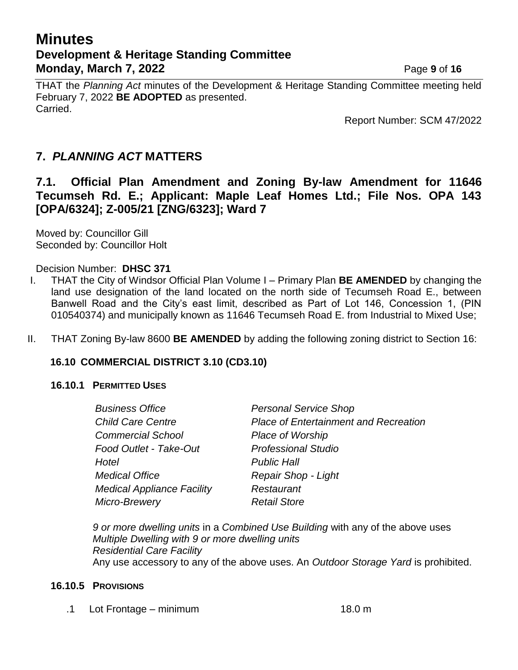## **Minutes Development & Heritage Standing Committee Monday, March 7, 2022 Page 9** of 16

THAT the *Planning Act* minutes of the Development & Heritage Standing Committee meeting held February 7, 2022 **BE ADOPTED** as presented. Carried.

Report Number: SCM 47/2022

## **7.** *PLANNING ACT* **MATTERS**

**7.1. Official Plan Amendment and Zoning By-law Amendment for 11646 Tecumseh Rd. E.; Applicant: Maple Leaf Homes Ltd.; File Nos. OPA 143 [OPA/6324]; Z-005/21 [ZNG/6323]; Ward 7**

Moved by: Councillor Gill Seconded by: Councillor Holt

Decision Number: **DHSC 371**

- I. THAT the City of Windsor Official Plan Volume I Primary Plan **BE AMENDED** by changing the land use designation of the land located on the north side of Tecumseh Road E., between Banwell Road and the City's east limit, described as Part of Lot 146, Concession 1, (PIN 010540374) and municipally known as 11646 Tecumseh Road E. from Industrial to Mixed Use;
- II. THAT Zoning By-law 8600 **BE AMENDED** by adding the following zoning district to Section 16:

#### **16.10 COMMERCIAL DISTRICT 3.10 (CD3.10)**

#### **16.10.1 PERMITTED USES**

| <b>Business Office</b>            | <b>Personal Service Shop</b>                 |  |
|-----------------------------------|----------------------------------------------|--|
| <b>Child Care Centre</b>          | <b>Place of Entertainment and Recreation</b> |  |
| <b>Commercial School</b>          | <b>Place of Worship</b>                      |  |
| Food Outlet - Take-Out            | <b>Professional Studio</b>                   |  |
| Hotel                             | <b>Public Hall</b>                           |  |
| <b>Medical Office</b>             | Repair Shop - Light                          |  |
| <b>Medical Appliance Facility</b> | Restaurant                                   |  |
| Micro-Brewery                     | <b>Retail Store</b>                          |  |

*9 or more dwelling units* in a *Combined Use Building* with any of the above uses *Multiple Dwelling with 9 or more dwelling units Residential Care Facility* Any use accessory to any of the above uses. An *Outdoor Storage Yard* is prohibited.

#### **16.10.5 PROVISIONS**

.1 Lot Frontage – minimum 18.0 m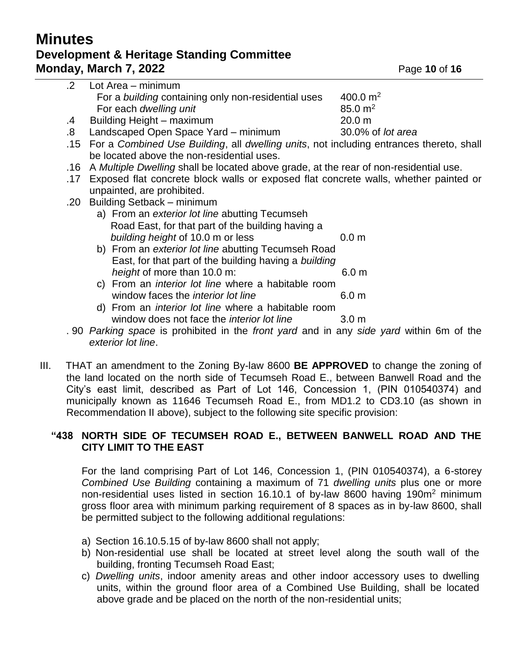## **Minutes Development & Heritage Standing Committee Monday, March 7, 2022 Page 10 of 16**

|     | For a building containing only non-residential uses                                         | 400.0 $m2$           |  |
|-----|---------------------------------------------------------------------------------------------|----------------------|--|
|     | For each dwelling unit                                                                      | $85.0 \; \text{m}^2$ |  |
| .4  | Building Height - maximum                                                                   | 20.0 m               |  |
| .8. | Landscaped Open Space Yard - minimum                                                        | 30.0% of lot area    |  |
|     | .15 For a Combined Use Building, all dwelling units, not including entrances thereto, shall |                      |  |
|     | be located above the non-residential uses.                                                  |                      |  |
|     | .16 A Multiple Dwelling shall be located above grade, at the rear of non-residential use.   |                      |  |
|     | .17 Exposed flat concrete block walls or exposed flat concrete walls, whether painted or    |                      |  |
|     | unpainted, are prohibited.                                                                  |                      |  |
|     | .20 Building Setback - minimum                                                              |                      |  |
|     | a) From an exterior lot line abutting Tecumseb                                              |                      |  |

.2 Lot Area – minimum

- a) From an *exterior lot line* abutting I ecumsen Road East, for that part of the building having a *building height* of 10.0 m or less 0.0 m
- b) From an *exterior lot line* abutting Tecumseh Road East, for that part of the building having a *building height* of more than 10.0 m: 6.0 m
- c) From an *interior lot line* where a habitable room window faces the *interior lot line* 6.0 m
- d) From an *interior lot line* where a habitable room window does not face the *interior lot line* 3.0 m
- . 90 *Parking space* is prohibited in the *front yard* and in any *side yard* within 6m of the *exterior lot line*.
- III. THAT an amendment to the Zoning By-law 8600 **BE APPROVED** to change the zoning of the land located on the north side of Tecumseh Road E., between Banwell Road and the City's east limit, described as Part of Lot 146, Concession 1, (PIN 010540374) and municipally known as 11646 Tecumseh Road E., from MD1.2 to CD3.10 (as shown in Recommendation II above), subject to the following site specific provision:

#### **"438 NORTH SIDE OF TECUMSEH ROAD E., BETWEEN BANWELL ROAD AND THE CITY LIMIT TO THE EAST**

For the land comprising Part of Lot 146, Concession 1, (PIN 010540374), a 6-storey *Combined Use Building* containing a maximum of 71 *dwelling units* plus one or more non-residential uses listed in section 16.10.1 of by-law 8600 having 190m<sup>2</sup> minimum gross floor area with minimum parking requirement of 8 spaces as in by-law 8600, shall be permitted subject to the following additional regulations:

- a) Section 16.10.5.15 of by-law 8600 shall not apply;
- b) Non-residential use shall be located at street level along the south wall of the building, fronting Tecumseh Road East;
- c) *Dwelling units*, indoor amenity areas and other indoor accessory uses to dwelling units, within the ground floor area of a Combined Use Building, shall be located above grade and be placed on the north of the non-residential units;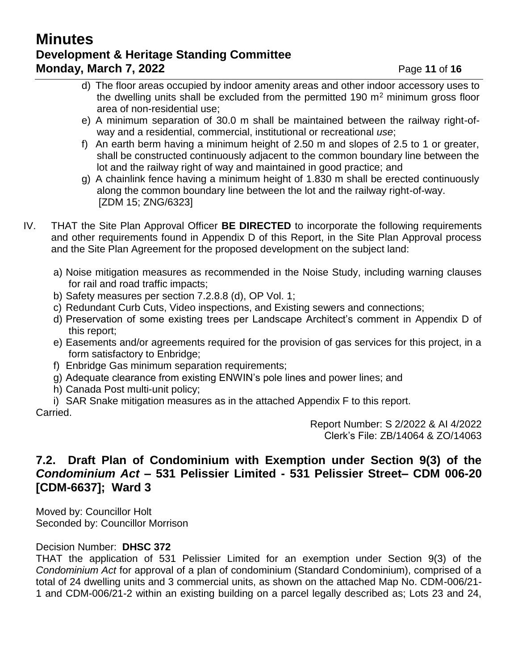## **Minutes Development & Heritage Standing Committee Monday, March 7, 2022 Page 11 of 16**

- d) The floor areas occupied by indoor amenity areas and other indoor accessory uses to the dwelling units shall be excluded from the permitted 190  $m<sup>2</sup>$  minimum gross floor area of non-residential use;
- e) A minimum separation of 30.0 m shall be maintained between the railway right-ofway and a residential, commercial, institutional or recreational *use*;
- f) An earth berm having a minimum height of 2.50 m and slopes of 2.5 to 1 or greater, shall be constructed continuously adjacent to the common boundary line between the lot and the railway right of way and maintained in good practice; and
- g) A chainlink fence having a minimum height of 1.830 m shall be erected continuously along the common boundary line between the lot and the railway right-of-way. [ZDM 15; ZNG/6323]
- IV. THAT the Site Plan Approval Officer **BE DIRECTED** to incorporate the following requirements and other requirements found in Appendix D of this Report, in the Site Plan Approval process and the Site Plan Agreement for the proposed development on the subject land:
	- a) Noise mitigation measures as recommended in the Noise Study, including warning clauses for rail and road traffic impacts;
	- b) Safety measures per section 7.2.8.8 (d), OP Vol. 1;
	- c) Redundant Curb Cuts, Video inspections, and Existing sewers and connections;
	- d) Preservation of some existing trees per Landscape Architect's comment in Appendix D of this report;
	- e) Easements and/or agreements required for the provision of gas services for this project, in a form satisfactory to Enbridge;
	- f) Enbridge Gas minimum separation requirements;
	- g) Adequate clearance from existing ENWIN's pole lines and power lines; and
	- h) Canada Post multi-unit policy;
	- i) SAR Snake mitigation measures as in the attached Appendix F to this report.

Carried.

Report Number: S 2/2022 & AI 4/2022 Clerk's File: ZB/14064 & ZO/14063

## **7.2. Draft Plan of Condominium with Exemption under Section 9(3) of the**  *Condominium Act* **– 531 Pelissier Limited - 531 Pelissier Street– CDM 006-20 [CDM-6637]; Ward 3**

Moved by: Councillor Holt Seconded by: Councillor Morrison

### Decision Number: **DHSC 372**

THAT the application of 531 Pelissier Limited for an exemption under Section 9(3) of the *Condominium Act* for approval of a plan of condominium (Standard Condominium), comprised of a total of 24 dwelling units and 3 commercial units, as shown on the attached Map No. CDM-006/21- 1 and CDM-006/21-2 within an existing building on a parcel legally described as; Lots 23 and 24,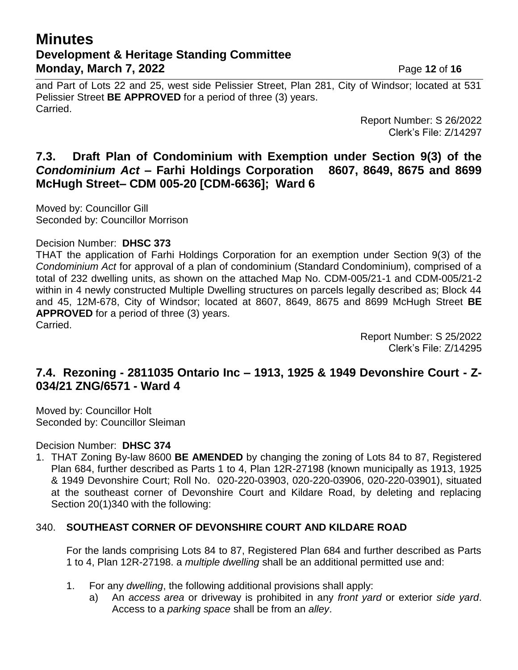## **Minutes Development & Heritage Standing Committee Monday, March 7, 2022 Page 12 of 16**

and Part of Lots 22 and 25, west side Pelissier Street, Plan 281, City of Windsor; located at 531 Pelissier Street **BE APPROVED** for a period of three (3) years. Carried.

> Report Number: S 26/2022 Clerk's File: Z/14297

### **7.3. Draft Plan of Condominium with Exemption under Section 9(3) of the**  *Condominium Act* **– Farhi Holdings Corporation 8607, 8649, 8675 and 8699 McHugh Street– CDM 005-20 [CDM-6636]; Ward 6**

Moved by: Councillor Gill Seconded by: Councillor Morrison

#### Decision Number: **DHSC 373**

THAT the application of Farhi Holdings Corporation for an exemption under Section 9(3) of the *Condominium Act* for approval of a plan of condominium (Standard Condominium), comprised of a total of 232 dwelling units, as shown on the attached Map No. CDM-005/21-1 and CDM-005/21-2 within in 4 newly constructed Multiple Dwelling structures on parcels legally described as; Block 44 and 45, 12M-678, City of Windsor; located at 8607, 8649, 8675 and 8699 McHugh Street **BE APPROVED** for a period of three (3) years. Carried.

> Report Number: S 25/2022 Clerk's File: Z/14295

## **7.4. Rezoning - 2811035 Ontario Inc – 1913, 1925 & 1949 Devonshire Court - Z-034/21 ZNG/6571 - Ward 4**

Moved by: Councillor Holt Seconded by: Councillor Sleiman

Decision Number: **DHSC 374**

1. THAT Zoning By-law 8600 **BE AMENDED** by changing the zoning of Lots 84 to 87, Registered Plan 684, further described as Parts 1 to 4, Plan 12R-27198 (known municipally as 1913, 1925 & 1949 Devonshire Court; Roll No. 020-220-03903, 020-220-03906, 020-220-03901), situated at the southeast corner of Devonshire Court and Kildare Road, by deleting and replacing Section 20(1)340 with the following:

### 340. **SOUTHEAST CORNER OF DEVONSHIRE COURT AND KILDARE ROAD**

For the lands comprising Lots 84 to 87, Registered Plan 684 and further described as Parts 1 to 4, Plan 12R-27198. a *multiple dwelling* shall be an additional permitted use and:

- 1. For any *dwelling*, the following additional provisions shall apply:
	- a) An *access area* or driveway is prohibited in any *front yard* or exterior *side yard*. Access to a *parking space* shall be from an *alley*.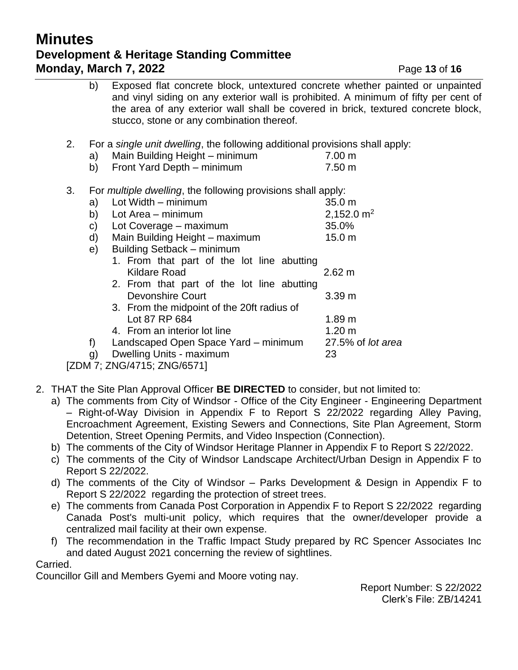## **Minutes Development & Heritage Standing Committee Monday, March 7, 2022 Page 13 of 16**

|                                                                                    | b) | Exposed flat concrete block, untextured concrete whether painted or unpainted<br>and vinyl siding on any exterior wall is prohibited. A minimum of fifty per cent of<br>the area of any exterior wall shall be covered in brick, textured concrete block,<br>stucco, stone or any combination thereof. |                   |
|------------------------------------------------------------------------------------|----|--------------------------------------------------------------------------------------------------------------------------------------------------------------------------------------------------------------------------------------------------------------------------------------------------------|-------------------|
| 2.<br>For a single unit dwelling, the following additional provisions shall apply: |    |                                                                                                                                                                                                                                                                                                        |                   |
|                                                                                    | a) | Main Building Height - minimum                                                                                                                                                                                                                                                                         | 7.00 m            |
|                                                                                    | b) | Front Yard Depth - minimum                                                                                                                                                                                                                                                                             | 7.50 m            |
| 3.<br>For <i>multiple dwelling</i> , the following provisions shall apply:         |    |                                                                                                                                                                                                                                                                                                        |                   |
|                                                                                    | a) | Lot Width - minimum                                                                                                                                                                                                                                                                                    | 35.0 m            |
|                                                                                    | b) | Lot Area – minimum                                                                                                                                                                                                                                                                                     | 2,152.0 $m2$      |
|                                                                                    | C) | Lot Coverage – maximum                                                                                                                                                                                                                                                                                 | 35.0%             |
|                                                                                    | d) | Main Building Height - maximum                                                                                                                                                                                                                                                                         | 15.0 <sub>m</sub> |
|                                                                                    | e) | Building Setback - minimum                                                                                                                                                                                                                                                                             |                   |
|                                                                                    |    | 1. From that part of the lot line abutting                                                                                                                                                                                                                                                             |                   |
|                                                                                    |    | Kildare Road                                                                                                                                                                                                                                                                                           | 2.62 m            |
|                                                                                    |    | 2. From that part of the lot line abutting                                                                                                                                                                                                                                                             |                   |
|                                                                                    |    | <b>Devonshire Court</b>                                                                                                                                                                                                                                                                                | 3.39 m            |
|                                                                                    |    | 3. From the midpoint of the 20ft radius of                                                                                                                                                                                                                                                             |                   |
|                                                                                    |    | Lot 87 RP 684                                                                                                                                                                                                                                                                                          | 1.89 m            |
|                                                                                    |    | 4. From an interior lot line                                                                                                                                                                                                                                                                           | 1.20 <sub>m</sub> |
|                                                                                    | f) | Landscaped Open Space Yard – minimum                                                                                                                                                                                                                                                                   | 27.5% of lot area |
|                                                                                    | g) | Dwelling Units - maximum                                                                                                                                                                                                                                                                               | 23                |
| .                                                                                  |    | $711014745$ $7110107$                                                                                                                                                                                                                                                                                  |                   |

[ZDM 7; ZNG/4715; ZNG/6571]

- 2. THAT the Site Plan Approval Officer **BE DIRECTED** to consider, but not limited to:
	- a) The comments from City of Windsor Office of the City Engineer Engineering Department – Right-of-Way Division in Appendix F to Report S 22/2022 regarding Alley Paving, Encroachment Agreement, Existing Sewers and Connections, Site Plan Agreement, Storm Detention, Street Opening Permits, and Video Inspection (Connection).
	- b) The comments of the City of Windsor Heritage Planner in Appendix F to Report S 22/2022.
	- c) The comments of the City of Windsor Landscape Architect/Urban Design in Appendix F to Report S 22/2022.
	- d) The comments of the City of Windsor Parks Development & Design in Appendix F to Report S 22/2022 regarding the protection of street trees.
	- e) The comments from Canada Post Corporation in Appendix F to Report S 22/2022 regarding Canada Post's multi-unit policy, which requires that the owner/developer provide a centralized mail facility at their own expense.
	- f) The recommendation in the Traffic Impact Study prepared by RC Spencer Associates Inc and dated August 2021 concerning the review of sightlines.

Carried.

Councillor Gill and Members Gyemi and Moore voting nay.

Report Number: S 22/2022 Clerk's File: ZB/14241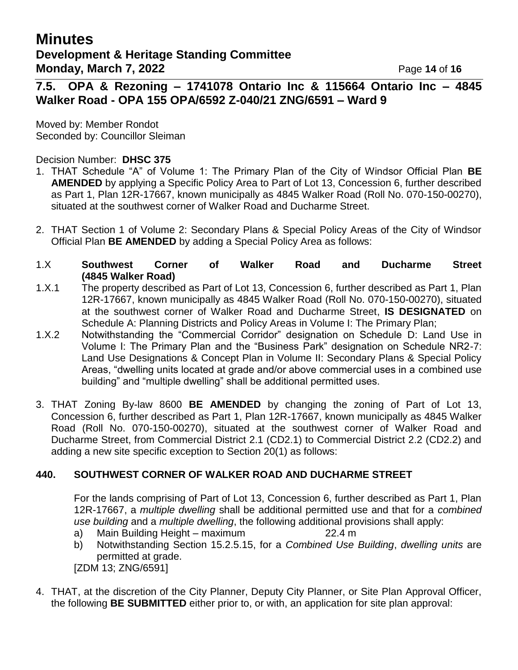## **Minutes Development & Heritage Standing Committee Monday, March 7, 2022 Page 14 of 16**

**7.5. OPA & Rezoning – 1741078 Ontario Inc & 115664 Ontario Inc – 4845 Walker Road - OPA 155 OPA/6592 Z-040/21 ZNG/6591 – Ward 9** 

Moved by: Member Rondot Seconded by: Councillor Sleiman

#### Decision Number: **DHSC 375**

- 1. THAT Schedule "A" of Volume 1: The Primary Plan of the City of Windsor Official Plan **BE AMENDED** by applying a Specific Policy Area to Part of Lot 13, Concession 6, further described as Part 1, Plan 12R-17667, known municipally as 4845 Walker Road (Roll No. 070-150-00270), situated at the southwest corner of Walker Road and Ducharme Street.
- 2. THAT Section 1 of Volume 2: Secondary Plans & Special Policy Areas of the City of Windsor Official Plan **BE AMENDED** by adding a Special Policy Area as follows:

#### 1.X **Southwest Corner of Walker Road and Ducharme Street (4845 Walker Road)**

- 1.X.1 The property described as Part of Lot 13, Concession 6, further described as Part 1, Plan 12R-17667, known municipally as 4845 Walker Road (Roll No. 070-150-00270), situated at the southwest corner of Walker Road and Ducharme Street, **IS DESIGNATED** on Schedule A: Planning Districts and Policy Areas in Volume I: The Primary Plan;
- 1.X.2 Notwithstanding the "Commercial Corridor" designation on Schedule D: Land Use in Volume I: The Primary Plan and the "Business Park" designation on Schedule NR2-7: Land Use Designations & Concept Plan in Volume II: Secondary Plans & Special Policy Areas, "dwelling units located at grade and/or above commercial uses in a combined use building" and "multiple dwelling" shall be additional permitted uses.
- 3. THAT Zoning By-law 8600 **BE AMENDED** by changing the zoning of Part of Lot 13, Concession 6, further described as Part 1, Plan 12R-17667, known municipally as 4845 Walker Road (Roll No. 070-150-00270), situated at the southwest corner of Walker Road and Ducharme Street, from Commercial District 2.1 (CD2.1) to Commercial District 2.2 (CD2.2) and adding a new site specific exception to Section 20(1) as follows:

### **440. SOUTHWEST CORNER OF WALKER ROAD AND DUCHARME STREET**

For the lands comprising of Part of Lot 13, Concession 6, further described as Part 1, Plan 12R-17667, a *multiple dwelling* shall be additional permitted use and that for a *combined use building* and a *multiple dwelling*, the following additional provisions shall apply:

- a) Main Building Height maximum 22.4 m
- b) Notwithstanding Section 15.2.5.15, for a *Combined Use Building*, *dwelling units* are permitted at grade.

[ZDM 13; ZNG/6591]

4. THAT, at the discretion of the City Planner, Deputy City Planner, or Site Plan Approval Officer, the following **BE SUBMITTED** either prior to, or with, an application for site plan approval: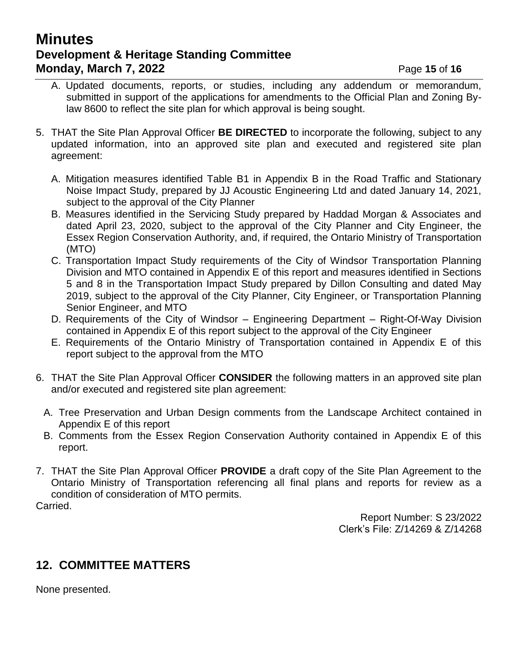## **Minutes Development & Heritage Standing Committee Monday, March 7, 2022 Page 15 of 16**

- A. Updated documents, reports, or studies, including any addendum or memorandum, submitted in support of the applications for amendments to the Official Plan and Zoning Bylaw 8600 to reflect the site plan for which approval is being sought.
- 5. THAT the Site Plan Approval Officer **BE DIRECTED** to incorporate the following, subject to any updated information, into an approved site plan and executed and registered site plan agreement:
	- A. Mitigation measures identified Table B1 in Appendix B in the Road Traffic and Stationary Noise Impact Study, prepared by JJ Acoustic Engineering Ltd and dated January 14, 2021, subject to the approval of the City Planner
	- B. Measures identified in the Servicing Study prepared by Haddad Morgan & Associates and dated April 23, 2020, subject to the approval of the City Planner and City Engineer, the Essex Region Conservation Authority, and, if required, the Ontario Ministry of Transportation (MTO)
	- C. Transportation Impact Study requirements of the City of Windsor Transportation Planning Division and MTO contained in Appendix E of this report and measures identified in Sections 5 and 8 in the Transportation Impact Study prepared by Dillon Consulting and dated May 2019, subject to the approval of the City Planner, City Engineer, or Transportation Planning Senior Engineer, and MTO
	- D. Requirements of the City of Windsor Engineering Department Right-Of-Way Division contained in Appendix E of this report subject to the approval of the City Engineer
	- E. Requirements of the Ontario Ministry of Transportation contained in Appendix E of this report subject to the approval from the MTO
- 6. THAT the Site Plan Approval Officer **CONSIDER** the following matters in an approved site plan and/or executed and registered site plan agreement:
	- A. Tree Preservation and Urban Design comments from the Landscape Architect contained in Appendix E of this report
	- B. Comments from the Essex Region Conservation Authority contained in Appendix E of this report.
- 7. THAT the Site Plan Approval Officer **PROVIDE** a draft copy of the Site Plan Agreement to the Ontario Ministry of Transportation referencing all final plans and reports for review as a condition of consideration of MTO permits. Carried.

Report Number: S 23/2022 Clerk's File: Z/14269 & Z/14268

## **12. COMMITTEE MATTERS**

None presented.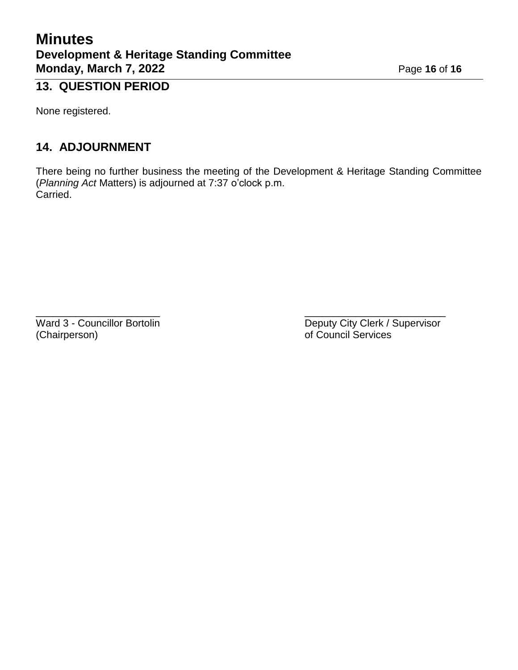## **Minutes Development & Heritage Standing Committee Monday, March 7, 2022** Page 16 of 16

# **13. QUESTION PERIOD**

None registered.

## **14. ADJOURNMENT**

There being no further business the meeting of the Development & Heritage Standing Committee (*Planning Act* Matters) is adjourned at 7:37 o'clock p.m. Carried.

 $\overline{\phantom{a}}$  , and the contract of the contract of the contract of the contract of the contract of the contract of the contract of the contract of the contract of the contract of the contract of the contract of the contrac (Chairperson) of Council Services

Ward 3 - Councillor Bortolin **Deputy City Clerk / Supervisor**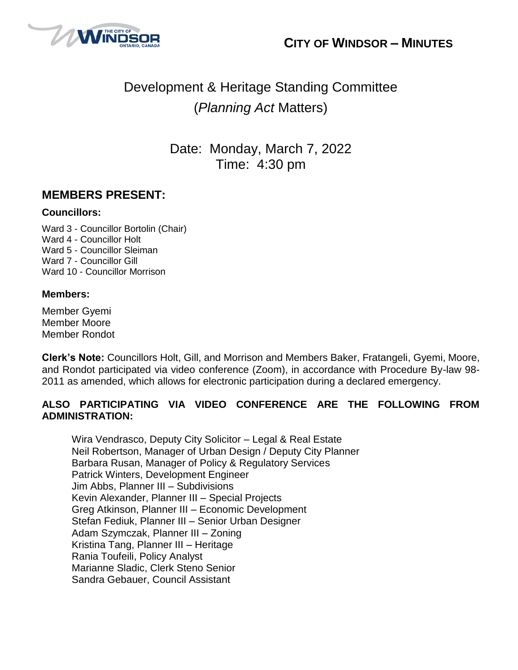



# Development & Heritage Standing Committee (*Planning Act* Matters)

Date: Monday, March 7, 2022 Time: 4:30 pm

### **MEMBERS PRESENT:**

#### **Councillors:**

Ward 3 - Councillor Bortolin (Chair) Ward 4 - Councillor Holt Ward 5 - Councillor Sleiman Ward 7 - Councillor Gill Ward 10 - Councillor Morrison

#### **Members:**

Member Gyemi Member Moore Member Rondot

**Clerk's Note:** Councillors Holt, Gill, and Morrison and Members Baker, Fratangeli, Gyemi, Moore, and Rondot participated via video conference (Zoom), in accordance with Procedure By-law 98- 2011 as amended, which allows for electronic participation during a declared emergency.

### **ALSO PARTICIPATING VIA VIDEO CONFERENCE ARE THE FOLLOWING FROM ADMINISTRATION:**

Wira Vendrasco, Deputy City Solicitor – Legal & Real Estate Neil Robertson, Manager of Urban Design / Deputy City Planner Barbara Rusan, Manager of Policy & Regulatory Services Patrick Winters, Development Engineer Jim Abbs, Planner III – Subdivisions Kevin Alexander, Planner III – Special Projects Greg Atkinson, Planner III – Economic Development Stefan Fediuk, Planner III – Senior Urban Designer Adam Szymczak, Planner III – Zoning Kristina Tang, Planner III – Heritage Rania Toufeili, Policy Analyst Marianne Sladic, Clerk Steno Senior Sandra Gebauer, Council Assistant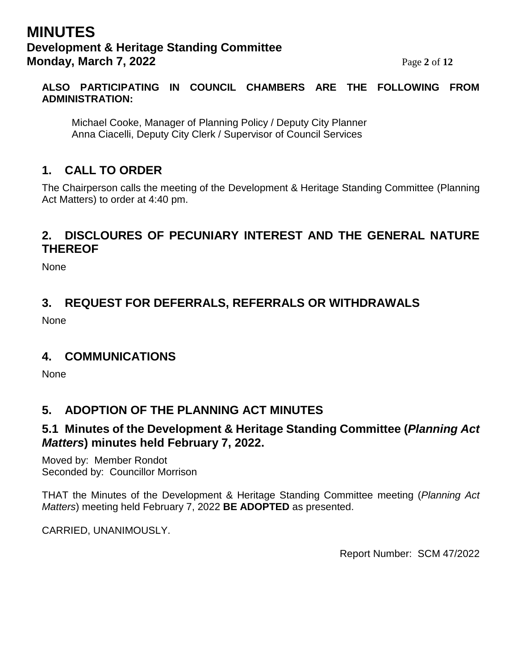## **MINUTES Development & Heritage Standing Committee Monday, March 7, 2022** Page 2 of 12

#### **ALSO PARTICIPATING IN COUNCIL CHAMBERS ARE THE FOLLOWING FROM ADMINISTRATION:**

Michael Cooke, Manager of Planning Policy / Deputy City Planner Anna Ciacelli, Deputy City Clerk / Supervisor of Council Services

## **1. CALL TO ORDER**

The Chairperson calls the meeting of the Development & Heritage Standing Committee (Planning Act Matters) to order at 4:40 pm.

## **2. DISCLOURES OF PECUNIARY INTEREST AND THE GENERAL NATURE THEREOF**

None

## **3. REQUEST FOR DEFERRALS, REFERRALS OR WITHDRAWALS**

None

## **4. COMMUNICATIONS**

**None** 

## **5. ADOPTION OF THE PLANNING ACT MINUTES**

## **5.1 Minutes of the Development & Heritage Standing Committee (***Planning Act Matters***) minutes held February 7, 2022.**

Moved by: Member Rondot Seconded by: Councillor Morrison

THAT the Minutes of the Development & Heritage Standing Committee meeting (*Planning Act Matters*) meeting held February 7, 2022 **BE ADOPTED** as presented.

CARRIED, UNANIMOUSLY.

Report Number: SCM 47/2022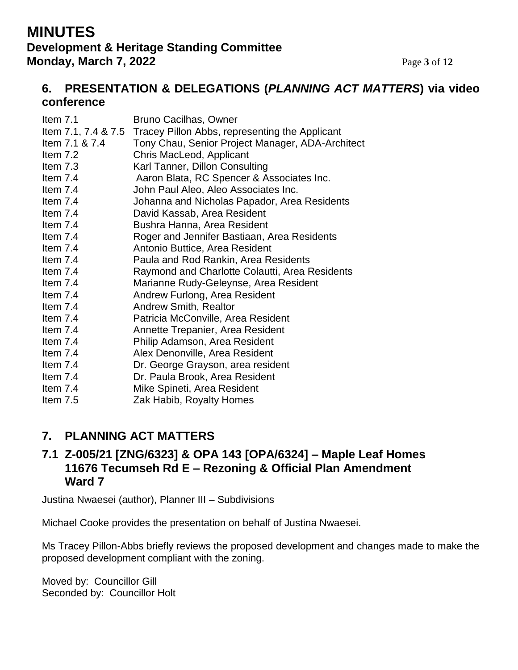## **MINUTES Development & Heritage Standing Committee Monday, March 7, 2022** Page 3 of 12

## **6. PRESENTATION & DELEGATIONS (***PLANNING ACT MATTERS***) via video conference**

| Item $7.1$<br>Item 7.1 & 7.4 | Bruno Cacilhas, Owner<br>Item 7.1, 7.4 & 7.5 Tracey Pillon Abbs, representing the Applicant<br>Tony Chau, Senior Project Manager, ADA-Architect |
|------------------------------|-------------------------------------------------------------------------------------------------------------------------------------------------|
| Item 7.2                     | Chris MacLeod, Applicant                                                                                                                        |
| Item $7.3$                   | Karl Tanner, Dillon Consulting                                                                                                                  |
| Item $7.4$                   | Aaron Blata, RC Spencer & Associates Inc.                                                                                                       |
| Item $7.4$                   | John Paul Aleo, Aleo Associates Inc.                                                                                                            |
| Item 7.4                     | Johanna and Nicholas Papador, Area Residents                                                                                                    |
| Item 7.4                     | David Kassab, Area Resident                                                                                                                     |
| Item $7.4$                   | Bushra Hanna, Area Resident                                                                                                                     |
| Item $7.4$                   | Roger and Jennifer Bastiaan, Area Residents                                                                                                     |
| Item 7.4                     | Antonio Buttice, Area Resident                                                                                                                  |
| Item $7.4$                   | Paula and Rod Rankin, Area Residents                                                                                                            |
| Item 7.4                     | Raymond and Charlotte Colautti, Area Residents                                                                                                  |
| Item $7.4$                   | Marianne Rudy-Geleynse, Area Resident                                                                                                           |
| Item $7.4$                   | Andrew Furlong, Area Resident                                                                                                                   |
| Item $7.4$                   | <b>Andrew Smith, Realtor</b>                                                                                                                    |
| Item 7.4                     | Patricia McConville, Area Resident                                                                                                              |
| Item $7.4$                   | Annette Trepanier, Area Resident                                                                                                                |
| Item 7.4                     | Philip Adamson, Area Resident                                                                                                                   |
| Item 7.4                     | Alex Denonville, Area Resident                                                                                                                  |
| Item $7.4$                   | Dr. George Grayson, area resident                                                                                                               |
| Item 7.4                     | Dr. Paula Brook, Area Resident                                                                                                                  |
| Item 7.4                     | Mike Spineti, Area Resident                                                                                                                     |
| Item 7.5                     | Zak Habib, Royalty Homes                                                                                                                        |

## **7. PLANNING ACT MATTERS**

### **7.1 Z-005/21 [ZNG/6323] & OPA 143 [OPA/6324] – Maple Leaf Homes 11676 Tecumseh Rd E – Rezoning & Official Plan Amendment Ward 7**

Justina Nwaesei (author), Planner III – Subdivisions

Michael Cooke provides the presentation on behalf of Justina Nwaesei.

Ms Tracey Pillon-Abbs briefly reviews the proposed development and changes made to make the proposed development compliant with the zoning.

Moved by: Councillor Gill Seconded by: Councillor Holt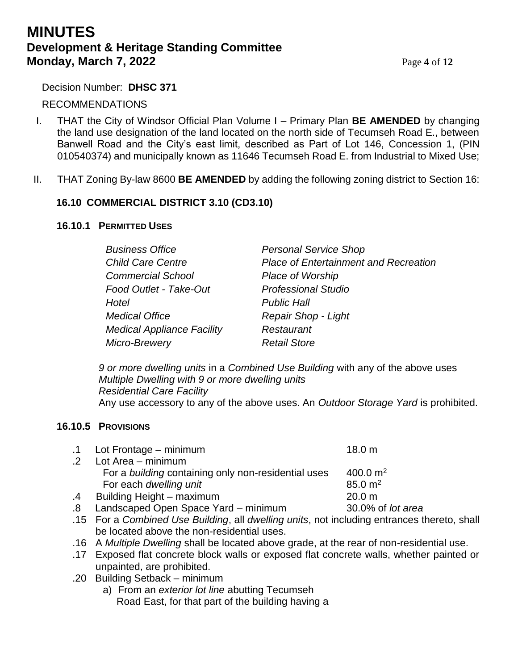## **MINUTES Development & Heritage Standing Committee Monday, March 7, 2022** Page 4 of 12

#### Decision Number: **DHSC 371**

#### RECOMMENDATIONS

- I. THAT the City of Windsor Official Plan Volume I Primary Plan **BE AMENDED** by changing the land use designation of the land located on the north side of Tecumseh Road E., between Banwell Road and the City's east limit, described as Part of Lot 146, Concession 1, (PIN 010540374) and municipally known as 11646 Tecumseh Road E. from Industrial to Mixed Use;
- II. THAT Zoning By-law 8600 **BE AMENDED** by adding the following zoning district to Section 16:

#### **16.10 COMMERCIAL DISTRICT 3.10 (CD3.10)**

#### **16.10.1 PERMITTED USES**

| <b>Business Office</b>            | <b>Personal Service Shop</b>                 |
|-----------------------------------|----------------------------------------------|
| <b>Child Care Centre</b>          | <b>Place of Entertainment and Recreation</b> |
| <b>Commercial School</b>          | <b>Place of Worship</b>                      |
| Food Outlet - Take-Out            | <b>Professional Studio</b>                   |
| Hotel                             | <b>Public Hall</b>                           |
| <b>Medical Office</b>             | Repair Shop - Light                          |
| <b>Medical Appliance Facility</b> | Restaurant                                   |
| Micro-Brewery                     | <b>Retail Store</b>                          |

*9 or more dwelling units* in a *Combined Use Building* with any of the above uses *Multiple Dwelling with 9 or more dwelling units Residential Care Facility* Any use accessory to any of the above uses. An *Outdoor Storage Yard* is prohibited.

#### **16.10.5 PROVISIONS**

|            | .1 Lot Frontage – minimum                           | 18.0 <sub>m</sub>  |
|------------|-----------------------------------------------------|--------------------|
| $\cdot$ .2 | Lot Area - minimum                                  |                    |
|            | For a building containing only non-residential uses | 400.0 $\rm m^2$    |
|            | For each dwelling unit                              | $85.0 \text{ m}^2$ |
| .4         | Building Height - maximum                           | 20.0 m             |
| .8         | Landscaped Open Space Yard - minimum                | 30.0% of lot area  |
|            |                                                     |                    |

- .15 For a *Combined Use Building*, all *dwelling units*, not including entrances thereto, shall be located above the non-residential uses.
- .16 A *Multiple Dwelling* shall be located above grade, at the rear of non-residential use.
- .17 Exposed flat concrete block walls or exposed flat concrete walls, whether painted or unpainted, are prohibited.
- .20 Building Setback minimum
	- a) From an *exterior lot line* abutting Tecumseh Road East, for that part of the building having a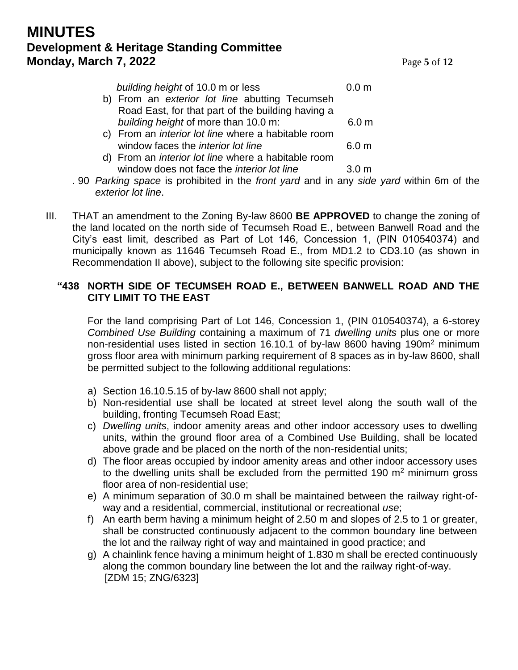## **MINUTES Development & Heritage Standing Committee Monday, March 7, 2022** Page 5 of 12

| building height of 10.0 m or less                          | 0.0 <sub>m</sub> |
|------------------------------------------------------------|------------------|
| b) From an exterior lot line abutting Tecumseh             |                  |
| Road East, for that part of the building having a          |                  |
| building height of more than 10.0 m:                       | 6.0 <sub>m</sub> |
| c) From an <i>interior lot line</i> where a habitable room |                  |
| window faces the <i>interior lot line</i>                  | 6.0 m            |
| d) Exam an interior let line who see a hobitable room      |                  |

- d) From an *interior lot line* where a habitable room window does not face the *interior lot line* 3.0 m
- . 90 *Parking space* is prohibited in the *front yard* and in any *side yard* within 6m of the *exterior lot line*.
- III. THAT an amendment to the Zoning By-law 8600 **BE APPROVED** to change the zoning of the land located on the north side of Tecumseh Road E., between Banwell Road and the City's east limit, described as Part of Lot 146, Concession 1, (PIN 010540374) and municipally known as 11646 Tecumseh Road E., from MD1.2 to CD3.10 (as shown in Recommendation II above), subject to the following site specific provision:

#### **"438 NORTH SIDE OF TECUMSEH ROAD E., BETWEEN BANWELL ROAD AND THE CITY LIMIT TO THE EAST**

For the land comprising Part of Lot 146, Concession 1, (PIN 010540374), a 6-storey *Combined Use Building* containing a maximum of 71 *dwelling units* plus one or more non-residential uses listed in section 16.10.1 of by-law 8600 having 190m<sup>2</sup> minimum gross floor area with minimum parking requirement of 8 spaces as in by-law 8600, shall be permitted subject to the following additional regulations:

- a) Section 16.10.5.15 of by-law 8600 shall not apply;
- b) Non-residential use shall be located at street level along the south wall of the building, fronting Tecumseh Road East;
- c) *Dwelling units*, indoor amenity areas and other indoor accessory uses to dwelling units, within the ground floor area of a Combined Use Building, shall be located above grade and be placed on the north of the non-residential units;
- d) The floor areas occupied by indoor amenity areas and other indoor accessory uses to the dwelling units shall be excluded from the permitted 190  $m<sup>2</sup>$  minimum gross floor area of non-residential use;
- e) A minimum separation of 30.0 m shall be maintained between the railway right-ofway and a residential, commercial, institutional or recreational *use*;
- f) An earth berm having a minimum height of 2.50 m and slopes of 2.5 to 1 or greater, shall be constructed continuously adjacent to the common boundary line between the lot and the railway right of way and maintained in good practice; and
- g) A chainlink fence having a minimum height of 1.830 m shall be erected continuously along the common boundary line between the lot and the railway right-of-way. [ZDM 15; ZNG/6323]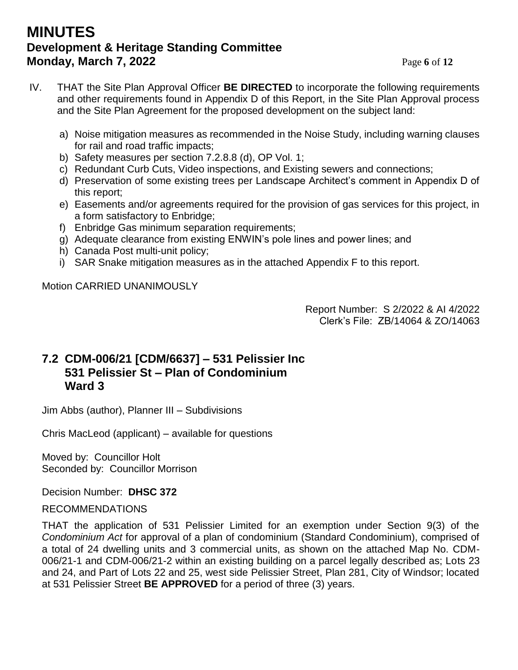## **MINUTES Development & Heritage Standing Committee Monday, March 7, 2022** Page 6 of 12

- IV. THAT the Site Plan Approval Officer **BE DIRECTED** to incorporate the following requirements and other requirements found in Appendix D of this Report, in the Site Plan Approval process and the Site Plan Agreement for the proposed development on the subject land:
	- a) Noise mitigation measures as recommended in the Noise Study, including warning clauses for rail and road traffic impacts;
	- b) Safety measures per section 7.2.8.8 (d), OP Vol. 1;
	- c) Redundant Curb Cuts, Video inspections, and Existing sewers and connections;
	- d) Preservation of some existing trees per Landscape Architect's comment in Appendix D of this report;
	- e) Easements and/or agreements required for the provision of gas services for this project, in a form satisfactory to Enbridge;
	- f) Enbridge Gas minimum separation requirements;
	- g) Adequate clearance from existing ENWIN's pole lines and power lines; and
	- h) Canada Post multi-unit policy;
	- i) SAR Snake mitigation measures as in the attached Appendix F to this report.

Motion CARRIED UNANIMOUSLY

Report Number: S 2/2022 & AI 4/2022 Clerk's File: ZB/14064 & ZO/14063

## **7.2 CDM-006/21 [CDM/6637] – 531 Pelissier Inc 531 Pelissier St – Plan of Condominium Ward 3**

Jim Abbs (author), Planner III – Subdivisions

Chris MacLeod (applicant) – available for questions

Moved by: Councillor Holt Seconded by: Councillor Morrison

Decision Number: **DHSC 372**

### RECOMMENDATIONS

THAT the application of 531 Pelissier Limited for an exemption under Section 9(3) of the *Condominium Act* for approval of a plan of condominium (Standard Condominium), comprised of a total of 24 dwelling units and 3 commercial units, as shown on the attached Map No. CDM-006/21-1 and CDM-006/21-2 within an existing building on a parcel legally described as; Lots 23 and 24, and Part of Lots 22 and 25, west side Pelissier Street, Plan 281, City of Windsor; located at 531 Pelissier Street **BE APPROVED** for a period of three (3) years.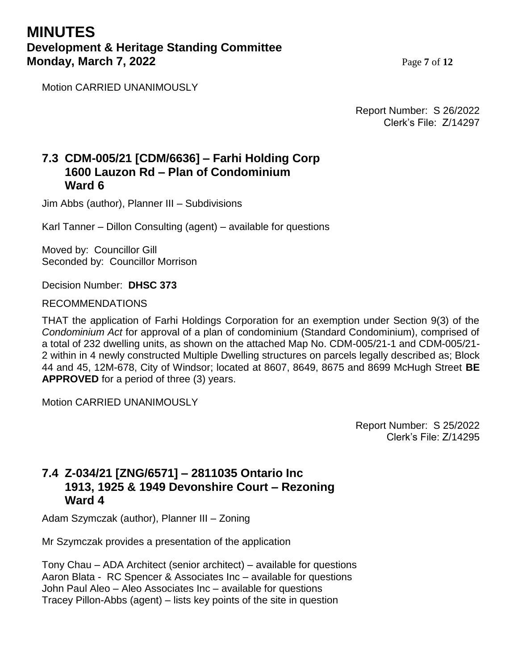## **MINUTES Development & Heritage Standing Committee Monday, March 7, 2022** Page 7 of 12

Motion CARRIED UNANIMOUSLY

Report Number: S 26/2022 Clerk's File: Z/14297

### **7.3 CDM-005/21 [CDM/6636] – Farhi Holding Corp 1600 Lauzon Rd – Plan of Condominium Ward 6**

Jim Abbs (author), Planner III – Subdivisions

Karl Tanner – Dillon Consulting (agent) – available for questions

Moved by: Councillor Gill Seconded by: Councillor Morrison

Decision Number: **DHSC 373**

**I** RECOMMENDATIONS

THAT the application of Farhi Holdings Corporation for an exemption under Section 9(3) of the *Condominium Act* for approval of a plan of condominium (Standard Condominium), comprised of a total of 232 dwelling units, as shown on the attached Map No. CDM-005/21-1 and CDM-005/21- 2 within in 4 newly constructed Multiple Dwelling structures on parcels legally described as; Block 44 and 45, 12M-678, City of Windsor; located at 8607, 8649, 8675 and 8699 McHugh Street **BE APPROVED** for a period of three (3) years.

Motion CARRIED UNANIMOUSLY

Report Number: S 25/2022 Clerk's File: Z/14295

## **7.4 Z-034/21 [ZNG/6571] – 2811035 Ontario Inc 1913, 1925 & 1949 Devonshire Court – Rezoning Ward 4**

Adam Szymczak (author), Planner III – Zoning

Mr Szymczak provides a presentation of the application

Tony Chau – ADA Architect (senior architect) – available for questions Aaron Blata - RC Spencer & Associates Inc – available for questions John Paul Aleo – Aleo Associates Inc – available for questions Tracey Pillon-Abbs (agent) – lists key points of the site in question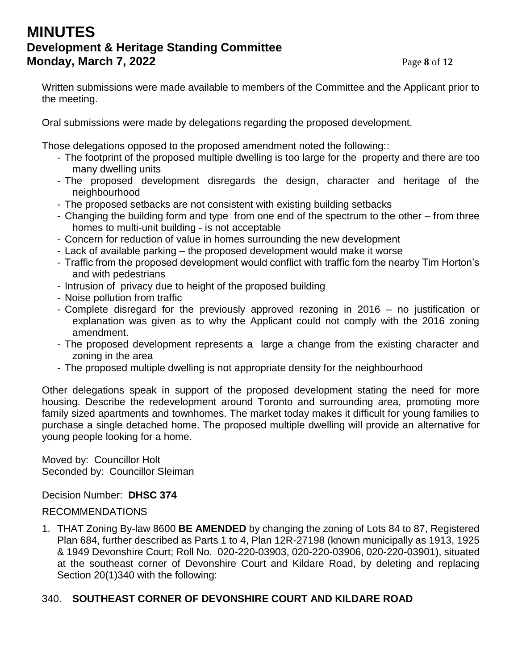## **MINUTES Development & Heritage Standing Committee Monday, March 7, 2022** Page 8 of 12

Written submissions were made available to members of the Committee and the Applicant prior to the meeting.

Oral submissions were made by delegations regarding the proposed development.

Those delegations opposed to the proposed amendment noted the following::

- The footprint of the proposed multiple dwelling is too large for the property and there are too many dwelling units
- The proposed development disregards the design, character and heritage of the neighbourhood
- The proposed setbacks are not consistent with existing building setbacks
- Changing the building form and type from one end of the spectrum to the other from three homes to multi-unit building - is not acceptable
- Concern for reduction of value in homes surrounding the new development
- Lack of available parking the proposed development would make it worse
- Traffic from the proposed development would conflict with traffic fom the nearby Tim Horton's and with pedestrians
- Intrusion of privacy due to height of the proposed building
- Noise pollution from traffic
- Complete disregard for the previously approved rezoning in 2016 no justification or explanation was given as to why the Applicant could not comply with the 2016 zoning amendment.
- The proposed development represents a large a change from the existing character and zoning in the area
- The proposed multiple dwelling is not appropriate density for the neighbourhood

Other delegations speak in support of the proposed development stating the need for more housing. Describe the redevelopment around Toronto and surrounding area, promoting more family sized apartments and townhomes. The market today makes it difficult for young families to purchase a single detached home. The proposed multiple dwelling will provide an alternative for young people looking for a home.

Moved by: Councillor Holt Seconded by: Councillor Sleiman

Decision Number: **DHSC 374**

#### RECOMMENDATIONS

1. THAT Zoning By-law 8600 **BE AMENDED** by changing the zoning of Lots 84 to 87, Registered Plan 684, further described as Parts 1 to 4, Plan 12R-27198 (known municipally as 1913, 1925 & 1949 Devonshire Court; Roll No. 020-220-03903, 020-220-03906, 020-220-03901), situated at the southeast corner of Devonshire Court and Kildare Road, by deleting and replacing Section 20(1)340 with the following:

### 340. **SOUTHEAST CORNER OF DEVONSHIRE COURT AND KILDARE ROAD**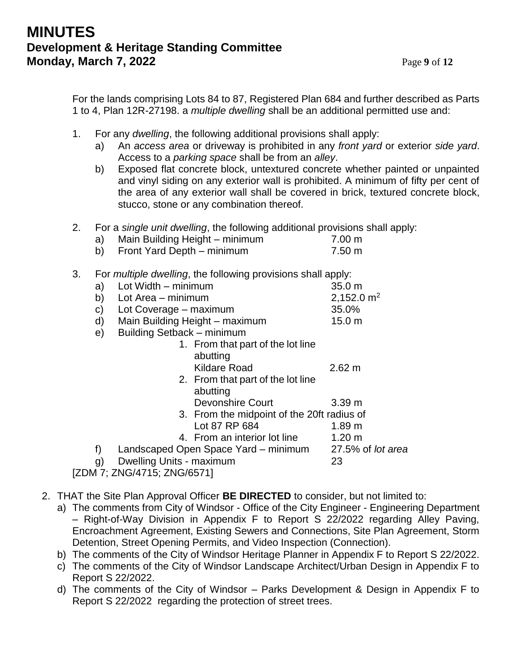For the lands comprising Lots 84 to 87, Registered Plan 684 and further described as Parts 1 to 4, Plan 12R-27198. a *multiple dwelling* shall be an additional permitted use and:

- 1. For any *dwelling*, the following additional provisions shall apply:
	- a) An *access area* or driveway is prohibited in any *front yard* or exterior *side yard*. Access to a *parking space* shall be from an *alley*.
	- b) Exposed flat concrete block, untextured concrete whether painted or unpainted and vinyl siding on any exterior wall is prohibited. A minimum of fifty per cent of the area of any exterior wall shall be covered in brick, textured concrete block, stucco, stone or any combination thereof.
- 2. For a *single unit dwelling*, the following additional provisions shall apply:
	- a) Main Building Height minimum 7.00 m
	- b) Front Yard Depth minimum 7.50 m
- 3. For *multiple dwelling*, the following provisions shall apply:

| J. |    | The managed awarmly, the following provisions shall apply. |                   |
|----|----|------------------------------------------------------------|-------------------|
|    | a) | Lot Width - minimum                                        | 35.0 m            |
|    | b) | Lot Area – minimum                                         | 2,152.0 $m2$      |
|    | C) | Lot Coverage – maximum                                     | 35.0%             |
|    | d) | Main Building Height - maximum                             | 15.0 <sub>m</sub> |
|    | e) | Building Setback - minimum                                 |                   |
|    |    | 1. From that part of the lot line                          |                   |
|    |    | abutting                                                   |                   |
|    |    | <b>Kildare Road</b>                                        | $2.62 \text{ m}$  |
|    |    | 2. From that part of the lot line                          |                   |
|    |    | abutting                                                   |                   |
|    |    | <b>Devonshire Court</b>                                    | 3.39 <sub>m</sub> |
|    |    | 3. From the midpoint of the 20ft radius of                 |                   |
|    |    | Lot 87 RP 684                                              | 1.89 m            |
|    |    | 4. From an interior lot line                               | 1.20 m            |
|    | f) | Landscaped Open Space Yard – minimum 27.5% of lot area     |                   |
|    | g) | Dwelling Units - maximum                                   | 23                |
|    |    | [ZDM 7; ZNG/4715; ZNG/6571]                                |                   |

- 2. THAT the Site Plan Approval Officer **BE DIRECTED** to consider, but not limited to:
	- a) The comments from City of Windsor Office of the City Engineer Engineering Department – Right-of-Way Division in Appendix F to Report S 22/2022 regarding Alley Paving, Encroachment Agreement, Existing Sewers and Connections, Site Plan Agreement, Storm Detention, Street Opening Permits, and Video Inspection (Connection).
	- b) The comments of the City of Windsor Heritage Planner in Appendix F to Report S 22/2022.
	- c) The comments of the City of Windsor Landscape Architect/Urban Design in Appendix F to Report S 22/2022.
	- d) The comments of the City of Windsor Parks Development & Design in Appendix F to Report S 22/2022 regarding the protection of street trees.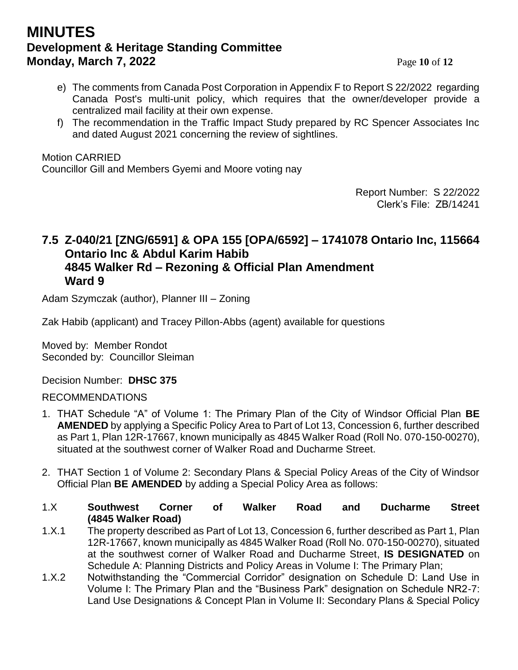## **MINUTES Development & Heritage Standing Committee Monday, March 7, 2022** Page 10 of 12

- e) The comments from Canada Post Corporation in Appendix F to Report S 22/2022 regarding Canada Post's multi-unit policy, which requires that the owner/developer provide a centralized mail facility at their own expense.
- f) The recommendation in the Traffic Impact Study prepared by RC Spencer Associates Inc and dated August 2021 concerning the review of sightlines.

#### Motion CARRIED

Councillor Gill and Members Gyemi and Moore voting nay

Report Number: S 22/2022 Clerk's File: ZB/14241

### **7.5 Z-040/21 [ZNG/6591] & OPA 155 [OPA/6592] – 1741078 Ontario Inc, 115664 Ontario Inc & Abdul Karim Habib 4845 Walker Rd – Rezoning & Official Plan Amendment Ward 9**

Adam Szymczak (author), Planner III – Zoning

Zak Habib (applicant) and Tracey Pillon-Abbs (agent) available for questions

Moved by: Member Rondot Seconded by: Councillor Sleiman

Decision Number: **DHSC 375**

#### RECOMMENDATIONS

- 1. THAT Schedule "A" of Volume 1: The Primary Plan of the City of Windsor Official Plan **BE AMENDED** by applying a Specific Policy Area to Part of Lot 13, Concession 6, further described as Part 1, Plan 12R-17667, known municipally as 4845 Walker Road (Roll No. 070-150-00270), situated at the southwest corner of Walker Road and Ducharme Street.
- 2. THAT Section 1 of Volume 2: Secondary Plans & Special Policy Areas of the City of Windsor Official Plan **BE AMENDED** by adding a Special Policy Area as follows:
- 1.X **Southwest Corner of Walker Road and Ducharme Street (4845 Walker Road)**
- 1.X.1 The property described as Part of Lot 13, Concession 6, further described as Part 1, Plan 12R-17667, known municipally as 4845 Walker Road (Roll No. 070-150-00270), situated at the southwest corner of Walker Road and Ducharme Street, **IS DESIGNATED** on Schedule A: Planning Districts and Policy Areas in Volume I: The Primary Plan;
- 1.X.2 Notwithstanding the "Commercial Corridor" designation on Schedule D: Land Use in Volume I: The Primary Plan and the "Business Park" designation on Schedule NR2-7: Land Use Designations & Concept Plan in Volume II: Secondary Plans & Special Policy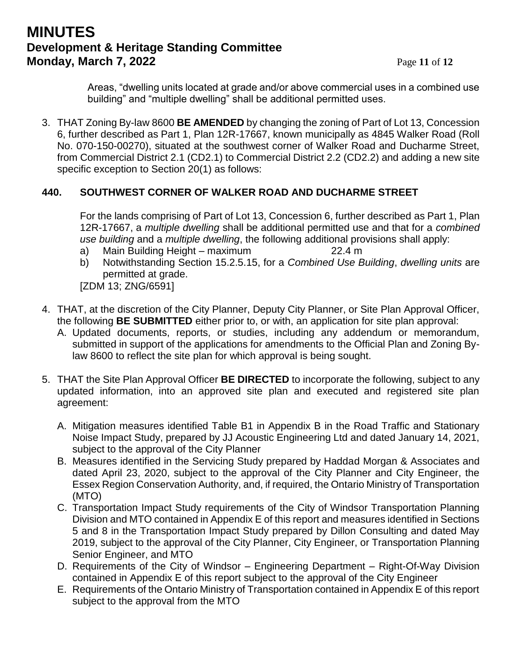## **MINUTES Development & Heritage Standing Committee Monday, March 7, 2022** Page 11 of 12

Areas, "dwelling units located at grade and/or above commercial uses in a combined use building" and "multiple dwelling" shall be additional permitted uses.

3. THAT Zoning By-law 8600 **BE AMENDED** by changing the zoning of Part of Lot 13, Concession 6, further described as Part 1, Plan 12R-17667, known municipally as 4845 Walker Road (Roll No. 070-150-00270), situated at the southwest corner of Walker Road and Ducharme Street, from Commercial District 2.1 (CD2.1) to Commercial District 2.2 (CD2.2) and adding a new site specific exception to Section 20(1) as follows:

### **440. SOUTHWEST CORNER OF WALKER ROAD AND DUCHARME STREET**

For the lands comprising of Part of Lot 13, Concession 6, further described as Part 1, Plan 12R-17667, a *multiple dwelling* shall be additional permitted use and that for a *combined use building* and a *multiple dwelling*, the following additional provisions shall apply:

- a) Main Building Height maximum 22.4 m
- b) Notwithstanding Section 15.2.5.15, for a *Combined Use Building*, *dwelling units* are permitted at grade.

[ZDM 13; ZNG/6591]

- 4. THAT, at the discretion of the City Planner, Deputy City Planner, or Site Plan Approval Officer, the following **BE SUBMITTED** either prior to, or with, an application for site plan approval:
	- A. Updated documents, reports, or studies, including any addendum or memorandum, submitted in support of the applications for amendments to the Official Plan and Zoning Bylaw 8600 to reflect the site plan for which approval is being sought.
- 5. THAT the Site Plan Approval Officer **BE DIRECTED** to incorporate the following, subject to any updated information, into an approved site plan and executed and registered site plan agreement:
	- A. Mitigation measures identified Table B1 in Appendix B in the Road Traffic and Stationary Noise Impact Study, prepared by JJ Acoustic Engineering Ltd and dated January 14, 2021, subject to the approval of the City Planner
	- B. Measures identified in the Servicing Study prepared by Haddad Morgan & Associates and dated April 23, 2020, subject to the approval of the City Planner and City Engineer, the Essex Region Conservation Authority, and, if required, the Ontario Ministry of Transportation (MTO)
	- C. Transportation Impact Study requirements of the City of Windsor Transportation Planning Division and MTO contained in Appendix E of this report and measures identified in Sections 5 and 8 in the Transportation Impact Study prepared by Dillon Consulting and dated May 2019, subject to the approval of the City Planner, City Engineer, or Transportation Planning Senior Engineer, and MTO
	- D. Requirements of the City of Windsor Engineering Department Right-Of-Way Division contained in Appendix E of this report subject to the approval of the City Engineer
	- E. Requirements of the Ontario Ministry of Transportation contained in Appendix E of this report subject to the approval from the MTO